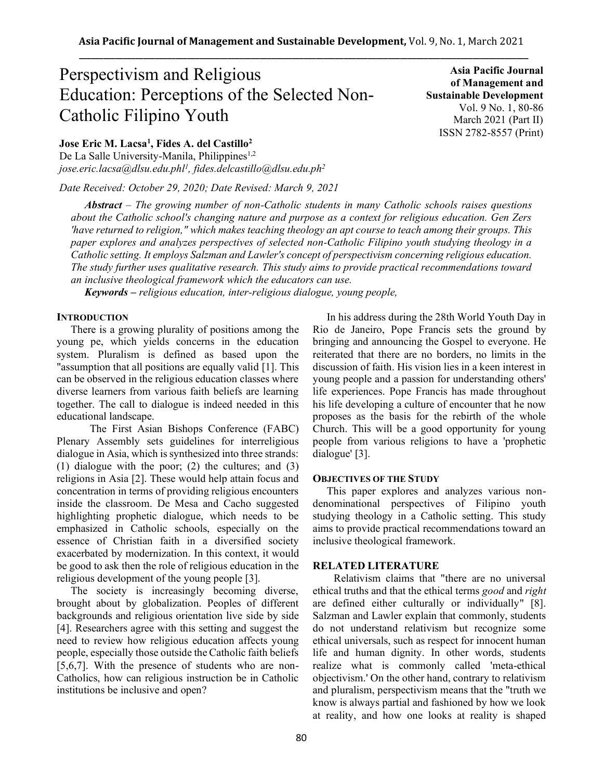# Perspectivism and Religious Education: Perceptions of the Selected Non-Catholic Filipino Youth

**Asia Pacific Journal of Management and Sustainable Development**  Vol. 9 No. 1, 80-86 March 2021 (Part II) ISSN 2782-8557 (Print)

**Jose Eric M. Lacsa<sup>1</sup> , Fides A. del Castillo<sup>2</sup>**

De La Salle University-Manila, Philippines<sup>1,2</sup> *jose.eric.lacsa@dlsu.edu.phl<sup>1</sup> , fides.delcastillo@dlsu.edu.ph<sup>2</sup>*

*Date Received: October 29, 2020; Date Revised: March 9, 2021*

*Abstract – The growing number of non-Catholic students in many Catholic schools raises questions about the Catholic school's changing nature and purpose as a context for religious education. Gen Zers 'have returned to religion," which makes teaching theology an apt course to teach among their groups. This paper explores and analyzes perspectives of selected non-Catholic Filipino youth studying theology in a Catholic setting. It employs Salzman and Lawler's concept of perspectivism concerning religious education. The study further uses qualitative research. This study aims to provide practical recommendations toward an inclusive theological framework which the educators can use.*

*Keywords – religious education, inter-religious dialogue, young people,* 

# **INTRODUCTION**

There is a growing plurality of positions among the young pe, which yields concerns in the education system. Pluralism is defined as based upon the "assumption that all positions are equally valid [1]. This can be observed in the religious education classes where diverse learners from various faith beliefs are learning together. The call to dialogue is indeed needed in this educational landscape.

 The First Asian Bishops Conference (FABC) Plenary Assembly sets guidelines for interreligious dialogue in Asia, which is synthesized into three strands: (1) dialogue with the poor; (2) the cultures; and (3) religions in Asia [2]. These would help attain focus and concentration in terms of providing religious encounters inside the classroom. De Mesa and Cacho suggested highlighting prophetic dialogue, which needs to be emphasized in Catholic schools, especially on the essence of Christian faith in a diversified society exacerbated by modernization. In this context, it would be good to ask then the role of religious education in the religious development of the young people [3].

The society is increasingly becoming diverse, brought about by globalization. Peoples of different backgrounds and religious orientation live side by side [4]. Researchers agree with this setting and suggest the need to review how religious education affects young people, especially those outside the Catholic faith beliefs [5,6,7]. With the presence of students who are non-Catholics, how can religious instruction be in Catholic institutions be inclusive and open?

In his address during the 28th World Youth Day in Rio de Janeiro, Pope Francis sets the ground by bringing and announcing the Gospel to everyone. He reiterated that there are no borders, no limits in the discussion of faith. His vision lies in a keen interest in young people and a passion for understanding others' life experiences. Pope Francis has made throughout his life developing a culture of encounter that he now proposes as the basis for the rebirth of the whole Church. This will be a good opportunity for young people from various religions to have a 'prophetic dialogue' [3].

### **OBJECTIVES OF THE STUDY**

This paper explores and analyzes various nondenominational perspectives of Filipino youth studying theology in a Catholic setting. This study aims to provide practical recommendations toward an inclusive theological framework.

# **RELATED LITERATURE**

Relativism claims that "there are no universal ethical truths and that the ethical terms *good* and *right*  are defined either culturally or individually" [8]. Salzman and Lawler explain that commonly, students do not understand relativism but recognize some ethical universals, such as respect for innocent human life and human dignity. In other words, students realize what is commonly called 'meta-ethical objectivism.' On the other hand, contrary to relativism and pluralism, perspectivism means that the "truth we know is always partial and fashioned by how we look at reality, and how one looks at reality is shaped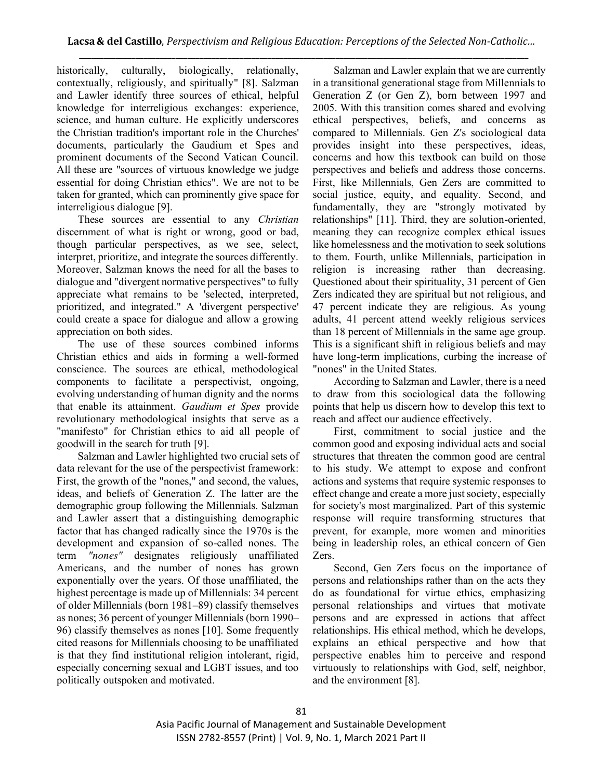historically, culturally, biologically, relationally, contextually, religiously, and spiritually" [8]. Salzman and Lawler identify three sources of ethical, helpful knowledge for interreligious exchanges: experience, science, and human culture. He explicitly underscores the Christian tradition's important role in the Churches' documents, particularly the Gaudium et Spes and prominent documents of the Second Vatican Council. All these are "sources of virtuous knowledge we judge essential for doing Christian ethics". We are not to be taken for granted, which can prominently give space for interreligious dialogue [9].

These sources are essential to any *Christian*  discernment of what is right or wrong, good or bad, though particular perspectives, as we see, select, interpret, prioritize, and integrate the sources differently. Moreover, Salzman knows the need for all the bases to dialogue and "divergent normative perspectives" to fully appreciate what remains to be 'selected, interpreted, prioritized, and integrated." A 'divergent perspective' could create a space for dialogue and allow a growing appreciation on both sides.

The use of these sources combined informs Christian ethics and aids in forming a well-formed conscience. The sources are ethical, methodological components to facilitate a perspectivist, ongoing, evolving understanding of human dignity and the norms that enable its attainment. *Gaudium et Spes* provide revolutionary methodological insights that serve as a "manifesto" for Christian ethics to aid all people of goodwill in the search for truth [9].

Salzman and Lawler highlighted two crucial sets of data relevant for the use of the perspectivist framework: First, the growth of the "nones," and second, the values, ideas, and beliefs of Generation Z. The latter are the demographic group following the Millennials. Salzman and Lawler assert that a distinguishing demographic factor that has changed radically since the 1970s is the development and expansion of so-called nones. The term *"nones"* designates religiously unaffiliated Americans, and the number of nones has grown exponentially over the years. Of those unaffiliated, the highest percentage is made up of Millennials: 34 percent of older Millennials (born 1981–89) classify themselves as nones; 36 percent of younger Millennials (born 1990– 96) classify themselves as nones [10]. Some frequently cited reasons for Millennials choosing to be unaffiliated is that they find institutional religion intolerant, rigid, especially concerning sexual and LGBT issues, and too politically outspoken and motivated.

Salzman and Lawler explain that we are currently in a transitional generational stage from Millennials to Generation Z (or Gen Z), born between 1997 and 2005. With this transition comes shared and evolving ethical perspectives, beliefs, and concerns as compared to Millennials. Gen Z's sociological data provides insight into these perspectives, ideas, concerns and how this textbook can build on those perspectives and beliefs and address those concerns. First, like Millennials, Gen Zers are committed to social justice, equity, and equality. Second, and fundamentally, they are "strongly motivated by relationships" [11]. Third, they are solution-oriented, meaning they can recognize complex ethical issues like homelessness and the motivation to seek solutions to them. Fourth, unlike Millennials, participation in religion is increasing rather than decreasing. Questioned about their spirituality, 31 percent of Gen Zers indicated they are spiritual but not religious, and 47 percent indicate they are religious. As young adults, 41 percent attend weekly religious services than 18 percent of Millennials in the same age group. This is a significant shift in religious beliefs and may have long-term implications, curbing the increase of "nones" in the United States.

According to Salzman and Lawler, there is a need to draw from this sociological data the following points that help us discern how to develop this text to reach and affect our audience effectively.

First, commitment to social justice and the common good and exposing individual acts and social structures that threaten the common good are central to his study. We attempt to expose and confront actions and systems that require systemic responses to effect change and create a more just society, especially for society's most marginalized. Part of this systemic response will require transforming structures that prevent, for example, more women and minorities being in leadership roles, an ethical concern of Gen Zers.

Second, Gen Zers focus on the importance of persons and relationships rather than on the acts they do as foundational for virtue ethics, emphasizing personal relationships and virtues that motivate persons and are expressed in actions that affect relationships. His ethical method, which he develops, explains an ethical perspective and how that perspective enables him to perceive and respond virtuously to relationships with God, self, neighbor, and the environment [8].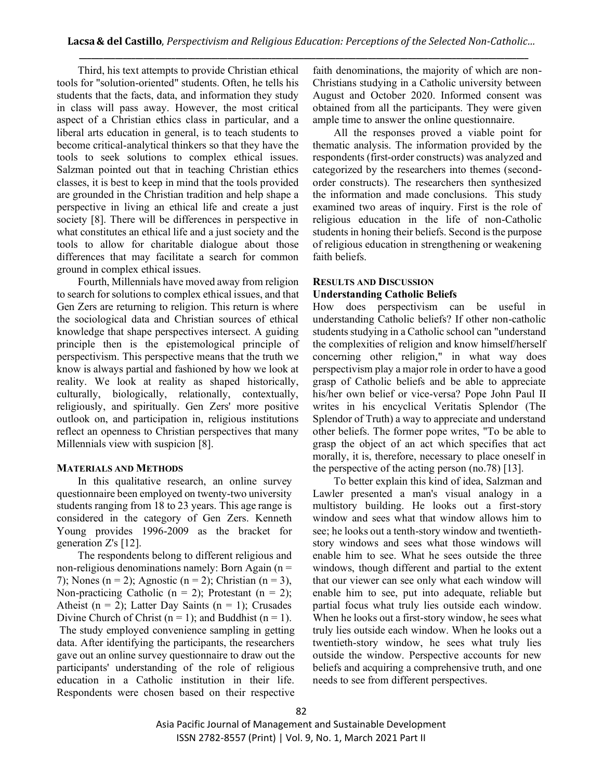Third, his text attempts to provide Christian ethical tools for "solution-oriented" students. Often, he tells his students that the facts, data, and information they study in class will pass away. However, the most critical aspect of a Christian ethics class in particular, and a liberal arts education in general, is to teach students to become critical-analytical thinkers so that they have the tools to seek solutions to complex ethical issues. Salzman pointed out that in teaching Christian ethics classes, it is best to keep in mind that the tools provided are grounded in the Christian tradition and help shape a perspective in living an ethical life and create a just society [8]. There will be differences in perspective in what constitutes an ethical life and a just society and the tools to allow for charitable dialogue about those differences that may facilitate a search for common ground in complex ethical issues.

Fourth, Millennials have moved away from religion to search for solutions to complex ethical issues, and that Gen Zers are returning to religion. This return is where the sociological data and Christian sources of ethical knowledge that shape perspectives intersect. A guiding principle then is the epistemological principle of perspectivism. This perspective means that the truth we know is always partial and fashioned by how we look at reality. We look at reality as shaped historically, culturally, biologically, relationally, contextually, religiously, and spiritually. Gen Zers' more positive outlook on, and participation in, religious institutions reflect an openness to Christian perspectives that many Millennials view with suspicion [8].

### **MATERIALS AND METHODS**

In this qualitative research, an online survey questionnaire been employed on twenty-two university students ranging from 18 to 23 years. This age range is considered in the category of Gen Zers. Kenneth Young provides 1996-2009 as the bracket for generation Z's [12].

The respondents belong to different religious and non-religious denominations namely: Born Again ( $n =$ 7); Nones (n = 2); Agnostic (n = 2); Christian (n = 3), Non-practicing Catholic ( $n = 2$ ); Protestant ( $n = 2$ ); Atheist ( $n = 2$ ); Latter Day Saints ( $n = 1$ ); Crusades Divine Church of Christ ( $n = 1$ ); and Buddhist ( $n = 1$ ). The study employed convenience sampling in getting data. After identifying the participants, the researchers gave out an online survey questionnaire to draw out the participants' understanding of the role of religious education in a Catholic institution in their life. Respondents were chosen based on their respective faith denominations, the majority of which are non-Christians studying in a Catholic university between August and October 2020. Informed consent was obtained from all the participants. They were given ample time to answer the online questionnaire.

All the responses proved a viable point for thematic analysis. The information provided by the respondents (first-order constructs) was analyzed and categorized by the researchers into themes (secondorder constructs). The researchers then synthesized the information and made conclusions. This study examined two areas of inquiry. First is the role of religious education in the life of non-Catholic students in honing their beliefs. Second is the purpose of religious education in strengthening or weakening faith beliefs.

## **RESULTS AND DISCUSSION Understanding Catholic Beliefs**

How does perspectivism can be useful in understanding Catholic beliefs? If other non-catholic students studying in a Catholic school can "understand the complexities of religion and know himself/herself concerning other religion," in what way does perspectivism play a major role in order to have a good grasp of Catholic beliefs and be able to appreciate his/her own belief or vice-versa? Pope John Paul II writes in his encyclical Veritatis Splendor (The Splendor of Truth) a way to appreciate and understand other beliefs. The former pope writes, "To be able to grasp the object of an act which specifies that act morally, it is, therefore, necessary to place oneself in the perspective of the acting person (no.78) [13].

To better explain this kind of idea, Salzman and Lawler presented a man's visual analogy in a multistory building. He looks out a first-story window and sees what that window allows him to see; he looks out a tenth-story window and twentiethstory windows and sees what those windows will enable him to see. What he sees outside the three windows, though different and partial to the extent that our viewer can see only what each window will enable him to see, put into adequate, reliable but partial focus what truly lies outside each window. When he looks out a first-story window, he sees what truly lies outside each window. When he looks out a twentieth-story window, he sees what truly lies outside the window. Perspective accounts for new beliefs and acquiring a comprehensive truth, and one needs to see from different perspectives.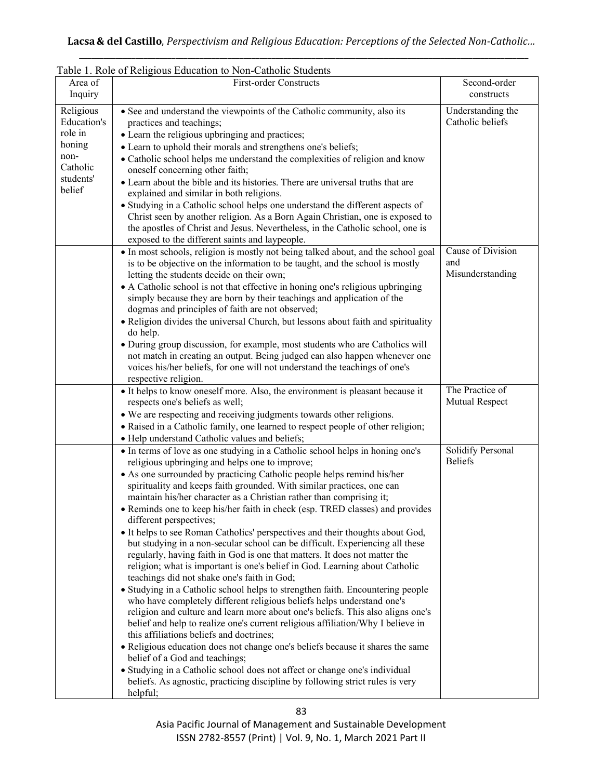| Table 1. Role of Religious Education to Non-Catholic Students |                                                                                                                                                                                                                                                                                                                                                                            |                                              |
|---------------------------------------------------------------|----------------------------------------------------------------------------------------------------------------------------------------------------------------------------------------------------------------------------------------------------------------------------------------------------------------------------------------------------------------------------|----------------------------------------------|
| Area of                                                       | <b>First-order Constructs</b>                                                                                                                                                                                                                                                                                                                                              | Second-order                                 |
| Inquiry                                                       |                                                                                                                                                                                                                                                                                                                                                                            | constructs                                   |
| Religious<br>Education's<br>role in<br>honing<br>non-         | • See and understand the viewpoints of the Catholic community, also its<br>practices and teachings;<br>• Learn the religious upbringing and practices;<br>• Learn to uphold their morals and strengthens one's beliefs;<br>• Catholic school helps me understand the complexities of religion and know                                                                     | Understanding the<br>Catholic beliefs        |
| Catholic                                                      | oneself concerning other faith;                                                                                                                                                                                                                                                                                                                                            |                                              |
| students'<br>belief                                           | • Learn about the bible and its histories. There are universal truths that are<br>explained and similar in both religions.                                                                                                                                                                                                                                                 |                                              |
|                                                               | • Studying in a Catholic school helps one understand the different aspects of<br>Christ seen by another religion. As a Born Again Christian, one is exposed to<br>the apostles of Christ and Jesus. Nevertheless, in the Catholic school, one is<br>exposed to the different saints and laypeople.                                                                         |                                              |
|                                                               | • In most schools, religion is mostly not being talked about, and the school goal<br>is to be objective on the information to be taught, and the school is mostly<br>letting the students decide on their own;<br>• A Catholic school is not that effective in honing one's religious upbringing                                                                           | Cause of Division<br>and<br>Misunderstanding |
|                                                               | simply because they are born by their teachings and application of the<br>dogmas and principles of faith are not observed;                                                                                                                                                                                                                                                 |                                              |
|                                                               | • Religion divides the universal Church, but lessons about faith and spirituality<br>do help.                                                                                                                                                                                                                                                                              |                                              |
|                                                               | • During group discussion, for example, most students who are Catholics will<br>not match in creating an output. Being judged can also happen whenever one<br>voices his/her beliefs, for one will not understand the teachings of one's<br>respective religion.                                                                                                           |                                              |
|                                                               | • It helps to know oneself more. Also, the environment is pleasant because it<br>respects one's beliefs as well;                                                                                                                                                                                                                                                           | The Practice of<br><b>Mutual Respect</b>     |
|                                                               | • We are respecting and receiving judgments towards other religions.<br>• Raised in a Catholic family, one learned to respect people of other religion;                                                                                                                                                                                                                    |                                              |
|                                                               | • Help understand Catholic values and beliefs;                                                                                                                                                                                                                                                                                                                             |                                              |
|                                                               | • In terms of love as one studying in a Catholic school helps in honing one's<br>religious upbringing and helps one to improve;                                                                                                                                                                                                                                            | Solidify Personal<br><b>Beliefs</b>          |
|                                                               | • As one surrounded by practicing Catholic people helps remind his/her<br>spirituality and keeps faith grounded. With similar practices, one can<br>maintain his/her character as a Christian rather than comprising it;                                                                                                                                                   |                                              |
|                                                               | · Reminds one to keep his/her faith in check (esp. TRED classes) and provides<br>different perspectives;                                                                                                                                                                                                                                                                   |                                              |
|                                                               | • It helps to see Roman Catholics' perspectives and their thoughts about God,<br>but studying in a non-secular school can be difficult. Experiencing all these<br>regularly, having faith in God is one that matters. It does not matter the<br>religion; what is important is one's belief in God. Learning about Catholic<br>teachings did not shake one's faith in God; |                                              |
|                                                               | • Studying in a Catholic school helps to strengthen faith. Encountering people<br>who have completely different religious beliefs helps understand one's<br>religion and culture and learn more about one's beliefs. This also aligns one's<br>belief and help to realize one's current religious affiliation/Why I believe in<br>this affiliations beliefs and doctrines; |                                              |
|                                                               | • Religious education does not change one's beliefs because it shares the same<br>belief of a God and teachings;                                                                                                                                                                                                                                                           |                                              |
|                                                               | • Studying in a Catholic school does not affect or change one's individual<br>beliefs. As agnostic, practicing discipline by following strict rules is very<br>helpful;                                                                                                                                                                                                    |                                              |

# Table 1. Role of Religious Education to Non-Catholic Students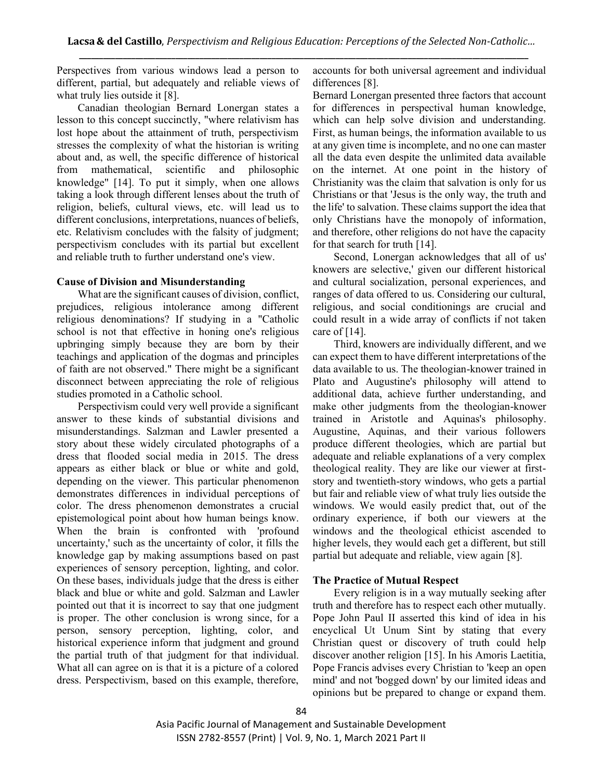Perspectives from various windows lead a person to different, partial, but adequately and reliable views of what truly lies outside it [8].

Canadian theologian Bernard Lonergan states a lesson to this concept succinctly, "where relativism has lost hope about the attainment of truth, perspectivism stresses the complexity of what the historian is writing about and, as well, the specific difference of historical from mathematical, scientific and philosophic knowledge" [14]. To put it simply, when one allows taking a look through different lenses about the truth of religion, beliefs, cultural views, etc. will lead us to different conclusions, interpretations, nuances of beliefs, etc. Relativism concludes with the falsity of judgment; perspectivism concludes with its partial but excellent and reliable truth to further understand one's view.

# **Cause of Division and Misunderstanding**

What are the significant causes of division, conflict, prejudices, religious intolerance among different religious denominations? If studying in a "Catholic school is not that effective in honing one's religious upbringing simply because they are born by their teachings and application of the dogmas and principles of faith are not observed." There might be a significant disconnect between appreciating the role of religious studies promoted in a Catholic school.

Perspectivism could very well provide a significant answer to these kinds of substantial divisions and misunderstandings. Salzman and Lawler presented a story about these widely circulated photographs of a dress that flooded social media in 2015. The dress appears as either black or blue or white and gold, depending on the viewer. This particular phenomenon demonstrates differences in individual perceptions of color. The dress phenomenon demonstrates a crucial epistemological point about how human beings know. When the brain is confronted with 'profound uncertainty,' such as the uncertainty of color, it fills the knowledge gap by making assumptions based on past experiences of sensory perception, lighting, and color. On these bases, individuals judge that the dress is either black and blue or white and gold. Salzman and Lawler pointed out that it is incorrect to say that one judgment is proper. The other conclusion is wrong since, for a person, sensory perception, lighting, color, and historical experience inform that judgment and ground the partial truth of that judgment for that individual. What all can agree on is that it is a picture of a colored dress. Perspectivism, based on this example, therefore, accounts for both universal agreement and individual differences [8].

Bernard Lonergan presented three factors that account for differences in perspectival human knowledge, which can help solve division and understanding. First, as human beings, the information available to us at any given time is incomplete, and no one can master all the data even despite the unlimited data available on the internet. At one point in the history of Christianity was the claim that salvation is only for us Christians or that 'Jesus is the only way, the truth and the life' to salvation. These claims support the idea that only Christians have the monopoly of information, and therefore, other religions do not have the capacity for that search for truth [14].

Second, Lonergan acknowledges that all of us' knowers are selective,' given our different historical and cultural socialization, personal experiences, and ranges of data offered to us. Considering our cultural, religious, and social conditionings are crucial and could result in a wide array of conflicts if not taken care of [14].

Third, knowers are individually different, and we can expect them to have different interpretations of the data available to us. The theologian-knower trained in Plato and Augustine's philosophy will attend to additional data, achieve further understanding, and make other judgments from the theologian-knower trained in Aristotle and Aquinas's philosophy. Augustine, Aquinas, and their various followers produce different theologies, which are partial but adequate and reliable explanations of a very complex theological reality. They are like our viewer at firststory and twentieth-story windows, who gets a partial but fair and reliable view of what truly lies outside the windows. We would easily predict that, out of the ordinary experience, if both our viewers at the windows and the theological ethicist ascended to higher levels, they would each get a different, but still partial but adequate and reliable, view again [8].

# **The Practice of Mutual Respect**

Every religion is in a way mutually seeking after truth and therefore has to respect each other mutually. Pope John Paul II asserted this kind of idea in his encyclical Ut Unum Sint by stating that every Christian quest or discovery of truth could help discover another religion [15]. In his Amoris Laetitia, Pope Francis advises every Christian to 'keep an open mind' and not 'bogged down' by our limited ideas and opinions but be prepared to change or expand them.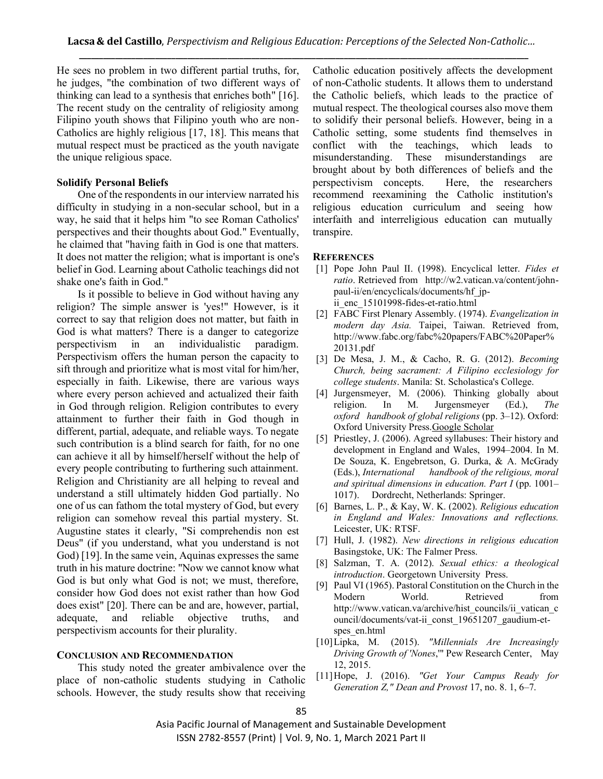He sees no problem in two different partial truths, for, he judges, "the combination of two different ways of thinking can lead to a synthesis that enriches both" [16]. The recent study on the centrality of religiosity among Filipino youth shows that Filipino youth who are non-Catholics are highly religious [17, 18]. This means that mutual respect must be practiced as the youth navigate the unique religious space.

### **Solidify Personal Beliefs**

One of the respondents in our interview narrated his difficulty in studying in a non-secular school, but in a way, he said that it helps him "to see Roman Catholics' perspectives and their thoughts about God." Eventually, he claimed that "having faith in God is one that matters. It does not matter the religion; what is important is one's belief in God. Learning about Catholic teachings did not shake one's faith in God."

Is it possible to believe in God without having any religion? The simple answer is 'yes!" However, is it correct to say that religion does not matter, but faith in God is what matters? There is a danger to categorize perspectivism in an individualistic paradigm. Perspectivism offers the human person the capacity to sift through and prioritize what is most vital for him/her, especially in faith. Likewise, there are various ways where every person achieved and actualized their faith in God through religion. Religion contributes to every attainment to further their faith in God though in different, partial, adequate, and reliable ways. To negate such contribution is a blind search for faith, for no one can achieve it all by himself/herself without the help of every people contributing to furthering such attainment. Religion and Christianity are all helping to reveal and understand a still ultimately hidden God partially. No one of us can fathom the total mystery of God, but every religion can somehow reveal this partial mystery. St. Augustine states it clearly, "Si comprehendis non est Deus" (if you understand, what you understand is not God) [19]. In the same vein, Aquinas expresses the same truth in his mature doctrine: "Now we cannot know what God is but only what God is not; we must, therefore, consider how God does not exist rather than how God does exist" [20]. There can be and are, however, partial, adequate, and reliable objective truths, and perspectivism accounts for their plurality.

#### **CONCLUSION AND RECOMMENDATION**

This study noted the greater ambivalence over the place of non-catholic students studying in Catholic schools. However, the study results show that receiving

Catholic education positively affects the development of non-Catholic students. It allows them to understand the Catholic beliefs, which leads to the practice of mutual respect. The theological courses also move them to solidify their personal beliefs. However, being in a Catholic setting, some students find themselves in conflict with the teachings, which leads to misunderstanding. These misunderstandings are brought about by both differences of beliefs and the perspectivism concepts. Here, the researchers recommend reexamining the Catholic institution's religious education curriculum and seeing how interfaith and interreligious education can mutually transpire.

#### **REFERENCES**

- [1] Pope John Paul II. (1998). Encyclical letter. *Fides et ratio*. Retrieved from http://w2.vatican.va/content/johnpaul-ii/en/encyclicals/documents/hf\_jpii enc 15101998-fides-et-ratio.html
- [2] FABC First Plenary Assembly. (1974). *Evangelization in modern day Asia.* Taipei, Taiwan. Retrieved from, http://www.fabc.org/fabc%20papers/FABC%20Paper% 20131.pdf
- [3] De Mesa, J. M., & Cacho, R. G. (2012). *Becoming Church, being sacrament: A Filipino ecclesiology for college students*. Manila: St. Scholastica's College.
- [4] Jurgensmeyer, M. (2006). Thinking globally about religion. In M. Jurgensmeyer (Ed.), *The oxford handbook of global religions* (pp. 3–12). Oxford: Oxford University Press.Google Scholar
- [5] Priestley, J. (2006). Agreed syllabuses: Their history and development in England and Wales, 1994–2004. In M. De Souza, K. Engebretson, G. Durka, & A. McGrady (Eds.), *International handbook of the religious, moral and spiritual dimensions in education. Part I* (pp. 1001– 1017). Dordrecht, Netherlands: Springer.
- [6] Barnes, L. P., & Kay, W. K. (2002). *Religious education in England and Wales: Innovations and reflections.* Leicester, UK: RTSF.
- [7] Hull, J. (1982). *New directions in religious education* Basingstoke, UK: The Falmer Press.
- [8] Salzman, T. A. (2012). *Sexual ethics: a theological introduction*. Georgetown University Press.
- [9] Paul VI (1965). Pastoral Constitution on the Church in the Modern World. Retrieved from http://www.vatican.va/archive/hist\_councils/ii\_vatican\_c ouncil/documents/vat-ii\_const\_19651207\_gaudium-etspes\_en.html
- [10]Lipka, M. (2015). *"Millennials Are Increasingly Driving Growth of 'Nones*,'" Pew Research Center, May 12, 2015.
- [11]Hope, J. (2016). *"Get Your Campus Ready for Generation Z," Dean and Provost* 17, no. 8. 1, 6–7.